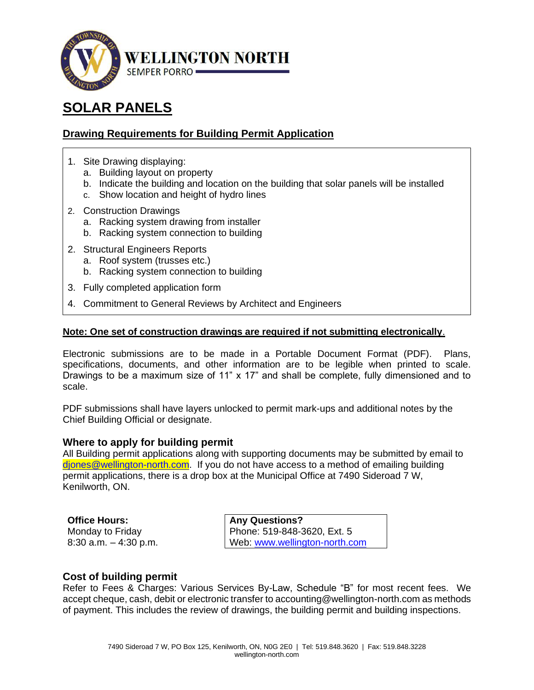

# **SOLAR PANELS**

# **Drawing Requirements for Building Permit Application**

- 1. Site Drawing displaying:
	- a. Building layout on property
	- b. Indicate the building and location on the building that solar panels will be installed
	- c. Show location and height of hydro lines
- 2. Construction Drawings
	- a. Racking system drawing from installer
	- b. Racking system connection to building
- 2. Structural Engineers Reports
	- a. Roof system (trusses etc.)
	- b. Racking system connection to building
- 3. Fully completed application form
- 4. Commitment to General Reviews by Architect and Engineers

#### **Note: One set of construction drawings are required if not submitting electronically**.

Electronic submissions are to be made in a Portable Document Format (PDF). Plans, specifications, documents, and other information are to be legible when printed to scale. Drawings to be a maximum size of 11"  $\times$  17" and shall be complete, fully dimensioned and to scale.

PDF submissions shall have layers unlocked to permit mark-ups and additional notes by the Chief Building Official or designate.

#### **Where to apply for building permit**

All Building permit applications along with supporting documents may be submitted by email to diones@wellington-north.com. If you do not have access to a method of emailing building permit applications, there is a drop box at the Municipal Office at 7490 Sideroad 7 W, Kenilworth, ON.

**Office Hours:**  Monday to Friday 8:30 a.m. – 4:30 p.m.

**Any Questions?**  Phone: 519-848-3620, Ext. 5 Web: [www.wellington-north.com](http://www.wellington-north.com/)

#### **Cost of building permit**

Refer to Fees & Charges: Various Services By-Law, Schedule "B" for most recent fees. We accept cheque, cash, debit or electronic transfer to accounting@wellington-north.com as methods of payment. This includes the review of drawings, the building permit and building inspections.